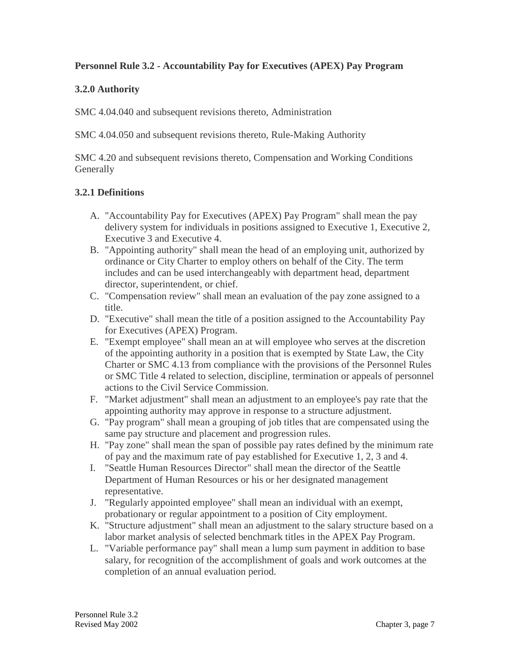#### **Personnel Rule 3.2 - Accountability Pay for Executives (APEX) Pay Program**

## **3.2.0 Authority**

SMC 4.04.040 and subsequent revisions thereto, Administration

SMC 4.04.050 and subsequent revisions thereto, Rule-Making Authority

SMC 4.20 and subsequent revisions thereto, Compensation and Working Conditions **Generally** 

## **3.2.1 Definitions**

- A. "Accountability Pay for Executives (APEX) Pay Program" shall mean the pay delivery system for individuals in positions assigned to Executive 1, Executive 2, Executive 3 and Executive 4.
- B. "Appointing authority" shall mean the head of an employing unit, authorized by ordinance or City Charter to employ others on behalf of the City. The term includes and can be used interchangeably with department head, department director, superintendent, or chief.
- C. "Compensation review" shall mean an evaluation of the pay zone assigned to a title.
- D. "Executive" shall mean the title of a position assigned to the Accountability Pay for Executives (APEX) Program.
- E. "Exempt employee" shall mean an at will employee who serves at the discretion of the appointing authority in a position that is exempted by State Law, the City Charter or SMC 4.13 from compliance with the provisions of the Personnel Rules or SMC Title 4 related to selection, discipline, termination or appeals of personnel actions to the Civil Service Commission.
- F. "Market adjustment" shall mean an adjustment to an employee's pay rate that the appointing authority may approve in response to a structure adjustment.
- G. "Pay program" shall mean a grouping of job titles that are compensated using the same pay structure and placement and progression rules.
- H. "Pay zone" shall mean the span of possible pay rates defined by the minimum rate of pay and the maximum rate of pay established for Executive 1, 2, 3 and 4.
- I. "Seattle Human Resources Director" shall mean the director of the Seattle Department of Human Resources or his or her designated management representative.
- J. "Regularly appointed employee" shall mean an individual with an exempt, probationary or regular appointment to a position of City employment.
- K. "Structure adjustment" shall mean an adjustment to the salary structure based on a labor market analysis of selected benchmark titles in the APEX Pay Program.
- L. "Variable performance pay" shall mean a lump sum payment in addition to base salary, for recognition of the accomplishment of goals and work outcomes at the completion of an annual evaluation period.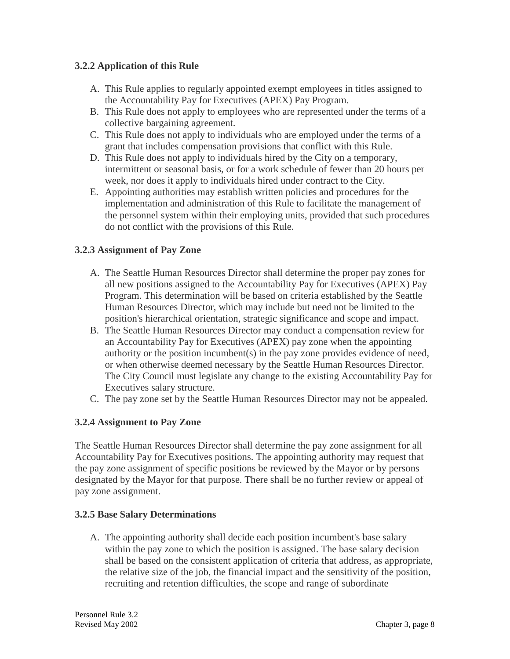## **3.2.2 Application of this Rule**

- A. This Rule applies to regularly appointed exempt employees in titles assigned to the Accountability Pay for Executives (APEX) Pay Program.
- B. This Rule does not apply to employees who are represented under the terms of a collective bargaining agreement.
- C. This Rule does not apply to individuals who are employed under the terms of a grant that includes compensation provisions that conflict with this Rule.
- D. This Rule does not apply to individuals hired by the City on a temporary, intermittent or seasonal basis, or for a work schedule of fewer than 20 hours per week, nor does it apply to individuals hired under contract to the City.
- E. Appointing authorities may establish written policies and procedures for the implementation and administration of this Rule to facilitate the management of the personnel system within their employing units, provided that such procedures do not conflict with the provisions of this Rule.

## **3.2.3 Assignment of Pay Zone**

- A. The Seattle Human Resources Director shall determine the proper pay zones for all new positions assigned to the Accountability Pay for Executives (APEX) Pay Program. This determination will be based on criteria established by the Seattle Human Resources Director, which may include but need not be limited to the position's hierarchical orientation, strategic significance and scope and impact.
- B. The Seattle Human Resources Director may conduct a compensation review for an Accountability Pay for Executives (APEX) pay zone when the appointing authority or the position incumbent(s) in the pay zone provides evidence of need, or when otherwise deemed necessary by the Seattle Human Resources Director. The City Council must legislate any change to the existing Accountability Pay for Executives salary structure.
- C. The pay zone set by the Seattle Human Resources Director may not be appealed.

# **3.2.4 Assignment to Pay Zone**

The Seattle Human Resources Director shall determine the pay zone assignment for all Accountability Pay for Executives positions. The appointing authority may request that the pay zone assignment of specific positions be reviewed by the Mayor or by persons designated by the Mayor for that purpose. There shall be no further review or appeal of pay zone assignment.

#### **3.2.5 Base Salary Determinations**

A. The appointing authority shall decide each position incumbent's base salary within the pay zone to which the position is assigned. The base salary decision shall be based on the consistent application of criteria that address, as appropriate, the relative size of the job, the financial impact and the sensitivity of the position, recruiting and retention difficulties, the scope and range of subordinate